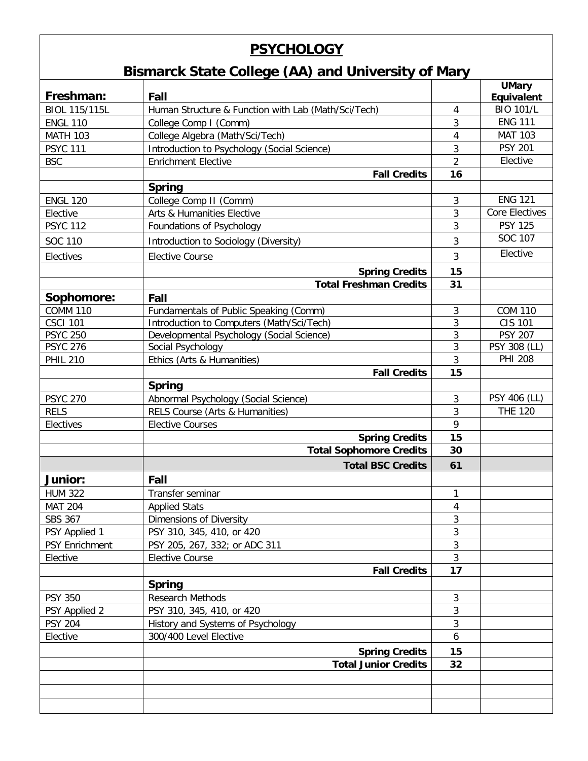## **PSYCHOLOGY**

## **Bismarck State College (AA) and University of Mary**

| Freshman:                   | Fall                                                     |                | <b>UMary</b><br>Equivalent |
|-----------------------------|----------------------------------------------------------|----------------|----------------------------|
| <b>BIOL 115/115L</b>        | Human Structure & Function with Lab (Math/Sci/Tech)      |                | <b>BIO 101/L</b>           |
| <b>ENGL 110</b>             |                                                          | 4<br>3         | <b>ENG 111</b>             |
| <b>MATH 103</b>             | College Comp I (Comm)<br>College Algebra (Math/Sci/Tech) | $\sqrt{4}$     | <b>MAT 103</b>             |
| <b>PSYC 111</b>             | Introduction to Psychology (Social Science)              | $\mathfrak{Z}$ | <b>PSY 201</b>             |
| <b>BSC</b>                  | <b>Enrichment Elective</b>                               | $\overline{2}$ | Elective                   |
|                             |                                                          |                |                            |
|                             | <b>Fall Credits</b>                                      | 16             |                            |
|                             | <b>Spring</b><br>College Comp II (Comm)                  |                | <b>ENG 121</b>             |
| <b>ENGL 120</b>             |                                                          | $\mathbf{3}$   | <b>Core Electives</b>      |
| Elective<br><b>PSYC 112</b> | Arts & Humanities Elective                               | 3<br>3         | <b>PSY 125</b>             |
|                             | Foundations of Psychology                                |                | SOC 107                    |
| SOC 110                     | Introduction to Sociology (Diversity)                    | 3              |                            |
| Electives                   | <b>Elective Course</b>                                   | 3              | Elective                   |
|                             | <b>Spring Credits</b>                                    | 15             |                            |
|                             | <b>Total Freshman Credits</b>                            | 31             |                            |
| Sophomore:                  | Fall                                                     |                |                            |
| <b>COMM 110</b>             | Fundamentals of Public Speaking (Comm)                   | $\mathbf{3}$   | <b>COM 110</b>             |
| <b>CSCI 101</b>             | Introduction to Computers (Math/Sci/Tech)                | 3              | <b>CIS 101</b>             |
| <b>PSYC 250</b>             | Developmental Psychology (Social Science)                | 3              | <b>PSY 207</b>             |
| <b>PSYC 276</b>             | Social Psychology                                        | 3              | PSY 308 (LL)               |
| <b>PHIL 210</b>             | Ethics (Arts & Humanities)                               | 3              | <b>PHI 208</b>             |
|                             | <b>Fall Credits</b>                                      | 15             |                            |
|                             | <b>Spring</b>                                            |                |                            |
| <b>PSYC 270</b>             | Abnormal Psychology (Social Science)                     | $\mathbf{3}$   | PSY 406 (LL)               |
| <b>RELS</b>                 | RELS Course (Arts & Humanities)                          | 3              | <b>THE 120</b>             |
| Electives                   | <b>Elective Courses</b>                                  | 9              |                            |
|                             | <b>Spring Credits</b>                                    | 15             |                            |
|                             | <b>Total Sophomore Credits</b>                           | 30             |                            |
|                             | <b>Total BSC Credits</b>                                 | 61             |                            |
| <b>Junior:</b>              | Fall                                                     |                |                            |
| <b>HUM 322</b>              | Transfer seminar                                         | 1              |                            |
| <b>MAT 204</b>              | <b>Applied Stats</b>                                     | 4              |                            |
| SBS 367                     | Dimensions of Diversity                                  | 3              |                            |
| PSY Applied 1               | PSY 310, 345, 410, or 420                                | 3              |                            |
| <b>PSY Enrichment</b>       | PSY 205, 267, 332; or ADC 311                            | 3              |                            |
| Elective                    | <b>Elective Course</b>                                   | $\mathbf{3}$   |                            |
|                             | <b>Fall Credits</b>                                      | 17             |                            |
|                             | <b>Spring</b>                                            |                |                            |
| <b>PSY 350</b>              | Research Methods                                         | $\mathbf{3}$   |                            |
| PSY Applied 2               | PSY 310, 345, 410, or 420                                | 3              |                            |
| <b>PSY 204</b>              | History and Systems of Psychology                        | 3              |                            |
| Elective                    | 300/400 Level Elective                                   | 6              |                            |
|                             | <b>Spring Credits</b>                                    | 15             |                            |
|                             | <b>Total Junior Credits</b>                              | 32             |                            |
|                             |                                                          |                |                            |
|                             |                                                          |                |                            |
|                             |                                                          |                |                            |